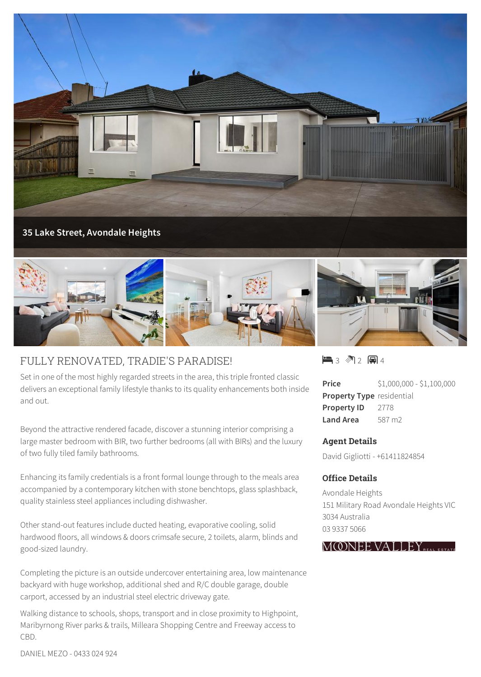



## FULLY RENOVATED, TRADIE'S PARADISE!

Set in one of the most highly regarded streets in the area, this triple fronted classic delivers an exceptional family lifestyle thanks to its quality enhancements both inside and out.

Beyond the attractive rendered facade, discover a stunning interior comprising a large master bedroom with BIR, two further bedrooms (all with BIRs) and the luxury of two fully tiled family bathrooms.

Enhancing its family credentials is a front formal lounge through to the meals area accompanied by a contemporary kitchen with stone benchtops, glass splashback, quality stainless steel appliances including dishwasher.

Other stand-out features include ducted heating, evaporative cooling, solid hardwood floors, all windows & doors crimsafe secure, 2 toilets, alarm, blinds and good-sized laundry.

Completing the picture is an outside undercover entertaining area, low maintenance backyard with huge workshop, additional shed and R/C double garage, double carport, accessed by an industrial steel electric driveway gate.

Walking distance to schools, shops, transport and in close proximity to Highpoint, Maribyrnong River parks & trails, Milleara Shopping Centre and Freeway access to CBD.

 $\blacksquare$  3 2 2 2 4 4

**Price** \$1,000,000 - \$1,100,000 **Property Type** residential Property ID 2778 **Land Area** 587 m2

## **Agent Details**

David Gigliotti - +61411824854

## **Office Details**

Avondale Heights 151 Military Road Avondale Heights VIC 3034 Australia 03 9337 5066



DANIEL MEZO - 0433 024 924